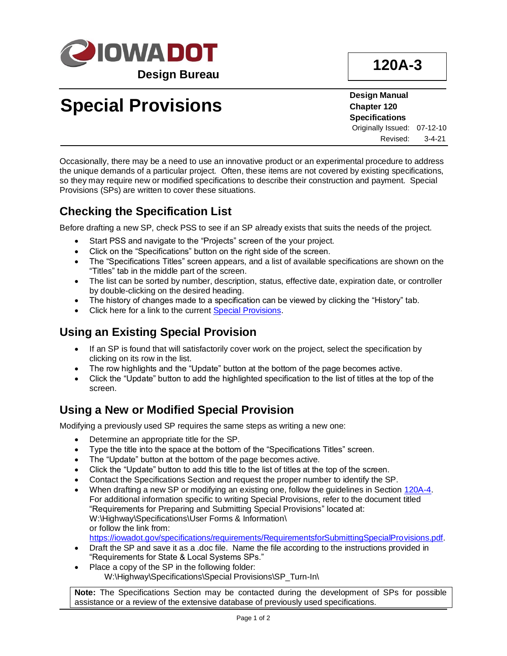

# **Special Provisions**

**Design Manual Chapter 120 Specifications** Originally Issued: 07-12-10 Revised: 3-4-21

Occasionally, there may be a need to use an innovative product or an experimental procedure to address the unique demands of a particular project. Often, these items are not covered by existing specifications, so they may require new or modified specifications to describe their construction and payment. Special Provisions (SPs) are written to cover these situations.

#### **Checking the Specification List**

Before drafting a new SP, check PSS to see if an SP already exists that suits the needs of the project.

- Start PSS and navigate to the "Projects" screen of the your project.
- Click on the "Specifications" button on the right side of the screen.
- The "Specifications Titles" screen appears, and a list of available specifications are shown on the "Titles" tab in the middle part of the screen.
- The list can be sorted by number, description, status, effective date, expiration date, or controller by double-clicking on the desired heading.
- The history of changes made to a specification can be viewed by clicking the "History" tab.
- Click here for a link to the curren[t Special Provisions.](../../specifications)

### **Using an Existing Special Provision**

- If an SP is found that will satisfactorily cover work on the project, select the specification by clicking on its row in the list.
- The row highlights and the "Update" button at the bottom of the page becomes active.
- Click the "Update" button to add the highlighted specification to the list of titles at the top of the screen.

#### **Using a New or Modified Special Provision**

Modifying a previously used SP requires the same steps as writing a new one:

- Determine an appropriate title for the SP.
- Type the title into the space at the bottom of the "Specifications Titles" screen.
- The "Update" button at the bottom of the page becomes active.
- Click the "Update" button to add this title to the list of titles at the top of the screen.
- Contact the Specifications Section and request the proper number to identify the SP.
- When drafting a new SP or modifying an existing one, follow the guidelines in Section [120A-4.](120A-04.pdf) For additional information specific to writing Special Provisions, refer to the document titled "Requirements for Preparing and Submitting Special Provisions" located at: W:\Highway\Specifications\User Forms & Information\ or follow the link from: [https://iowadot.gov/specifications/requirements/RequirementsforSubmittingSpecialProvisions.pdf.](../../specifications/requirements/RequirementsforSubmittingSpecialProvisions.pdf)
- Draft the SP and save it as a .doc file. Name the file according to the instructions provided in "Requirements for State & Local Systems SPs."
- Place a copy of the SP in the following folder: W:\Highway\Specifications\Special Provisions\SP\_Turn-In\

**Note:** The Specifications Section may be contacted during the development of SPs for possible assistance or a review of the extensive database of previously used specifications.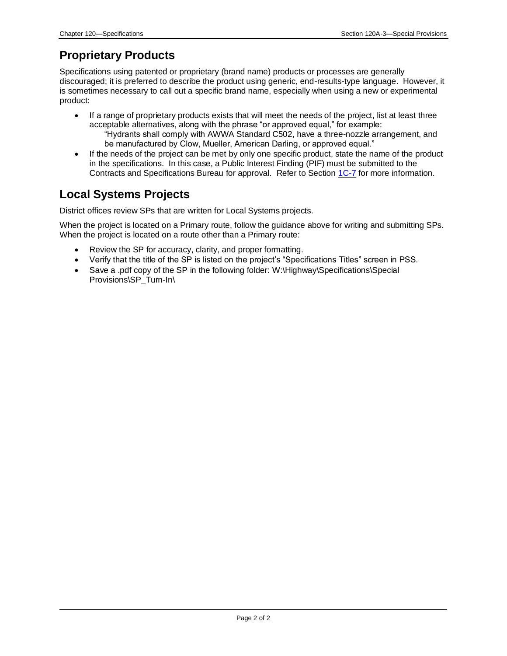### **Proprietary Products**

Specifications using patented or proprietary (brand name) products or processes are generally discouraged; it is preferred to describe the product using generic, end-results-type language. However, it is sometimes necessary to call out a specific brand name, especially when using a new or experimental product:

- If a range of proprietary products exists that will meet the needs of the project, list at least three acceptable alternatives, along with the phrase "or approved equal," for example: "Hydrants shall comply with AWWA Standard C502, have a three-nozzle arrangement, and be manufactured by Clow, Mueller, American Darling, or approved equal."
- If the needs of the project can be met by only one specific product, state the name of the product in the specifications. In this case, a Public Interest Finding (PIF) must be submitted to the Contracts and Specifications Bureau for approval. Refer to Section [1C-7](01c-07.pdf) for more information.

#### **Local Systems Projects**

District offices review SPs that are written for Local Systems projects.

When the project is located on a Primary route, follow the guidance above for writing and submitting SPs. When the project is located on a route other than a Primary route:

- Review the SP for accuracy, clarity, and proper formatting.
- Verify that the title of the SP is listed on the project's "Specifications Titles" screen in PSS.
- Save a .pdf copy of the SP in the following folder: W:\Highway\Specifications\Special Provisions\SP\_Turn-In\